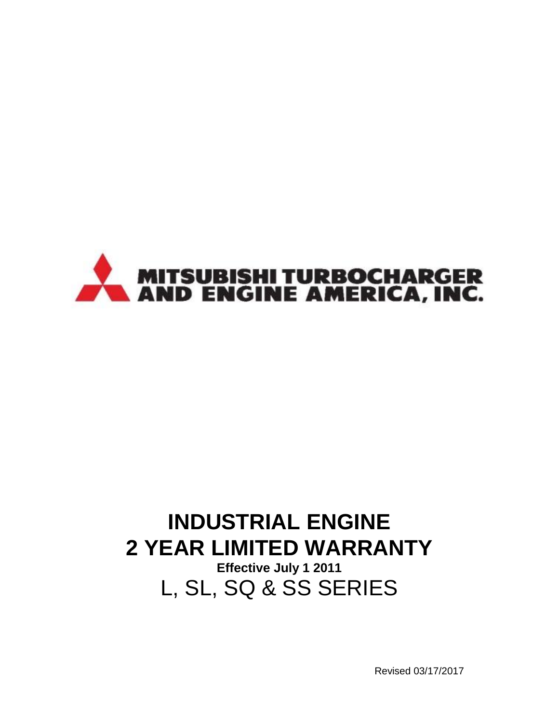

# **INDUSTRIAL ENGINE 2 YEAR LIMITED WARRANTY**

**Effective July 1 2011** L, SL, SQ & SS SERIES

Revised 03/17/2017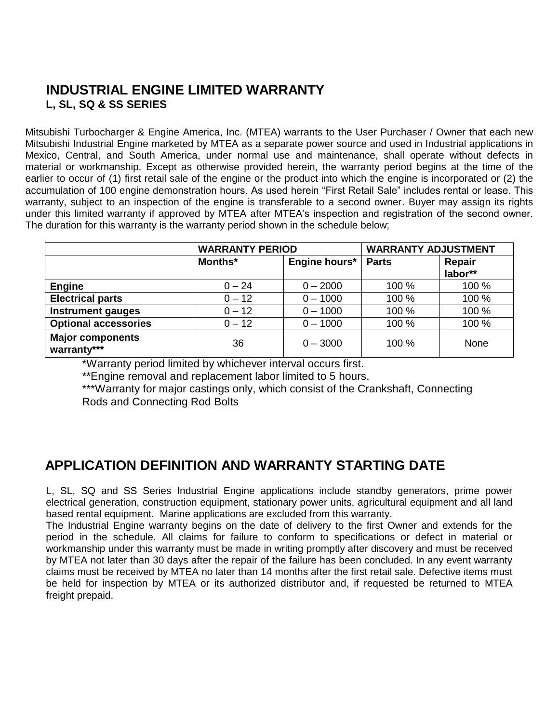#### **INDUSTRIAL ENGINE LIMITED WARRANTY L, SL, SQ & SS SERIES**

Mitsubishi Turbocharger & Engine America, Inc. (MTEA) warrants to the User Purchaser / Owner that each new Mitsubishi Industrial Engine marketed by MTEA as a separate power source and used in Industrial applications in Mexico, Central, and South America, under normal use and maintenance, shall operate without defects in material or workmanship. Except as otherwise provided herein, the warranty period begins at the time of the earlier to occur of (1) first retail sale of the engine or the product into which the engine is incorporated or (2) the accumulation of 100 engine demonstration hours. As used herein "First Retail Sale" includes rental or lease. This warranty, subject to an inspection of the engine is transferable to a second owner. Buyer may assign its rights under this limited warranty if approved by MTEA after MTEA's inspection and registration of the second owner. The duration for this warranty is the warranty period shown in the schedule below;

|                                        | <b>WARRANTY PERIOD</b> |               | <b>WARRANTY ADJUSTMENT</b> |         |
|----------------------------------------|------------------------|---------------|----------------------------|---------|
|                                        | Months*                | Engine hours* | <b>Parts</b>               | Repair  |
|                                        |                        |               |                            | labor** |
| <b>Engine</b>                          | $0 - 24$               | $0 - 2000$    | 100 %                      | 100 %   |
| <b>Electrical parts</b>                | $0 - 12$               | $0 - 1000$    | 100 %                      | 100 %   |
| <b>Instrument gauges</b>               | $0 - 12$               | $0 - 1000$    | 100 %                      | 100 %   |
| <b>Optional accessories</b>            | $0 - 12$               | $0 - 1000$    | 100 %                      | 100 %   |
| <b>Major components</b><br>warranty*** | 36                     | $0 - 3000$    | 100 %                      | None    |

\*Warranty period limited by whichever interval occurs first.

\*\*Engine removal and replacement labor limited to 5 hours.

\*\*\*Warranty for major castings only, which consist of the Crankshaft, Connecting Rods and Connecting Rod Bolts

### **APPLICATION DEFINITION AND WARRANTY STARTING DATE**

L, SL, SQ and SS Series Industrial Engine applications include standby generators, prime power electrical generation, construction equipment, stationary power units, agricultural equipment and all land based rental equipment. Marine applications are excluded from this warranty.

The Industrial Engine warranty begins on the date of delivery to the first Owner and extends for the period in the schedule. All claims for failure to conform to specifications or defect in material or workmanship under this warranty must be made in writing promptly after discovery and must be received by MTEA not later than 30 days after the repair of the failure has been concluded. In any event warranty claims must be received by MTEA no later than 14 months after the first retail sale. Defective items must be held for inspection by MTEA or its authorized distributor and, if requested be returned to MTEA freight prepaid.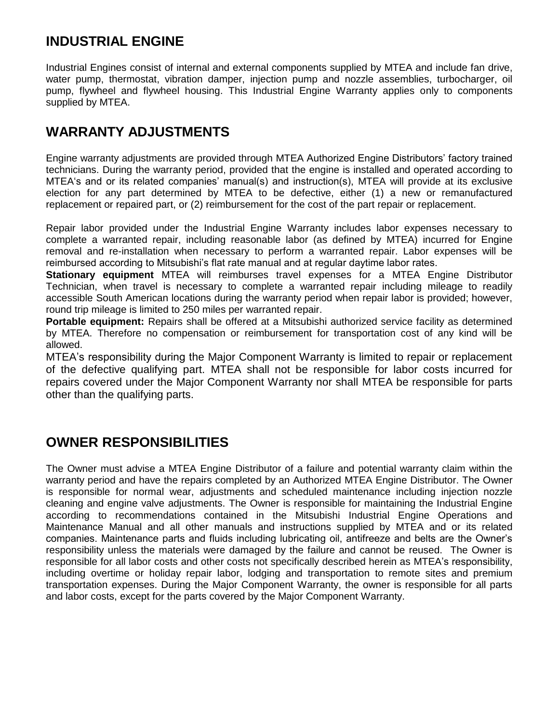### **INDUSTRIAL ENGINE**

Industrial Engines consist of internal and external components supplied by MTEA and include fan drive, water pump, thermostat, vibration damper, injection pump and nozzle assemblies, turbocharger, oil pump, flywheel and flywheel housing. This Industrial Engine Warranty applies only to components supplied by MTEA.

# **WARRANTY ADJUSTMENTS**

Engine warranty adjustments are provided through MTEA Authorized Engine Distributors' factory trained technicians. During the warranty period, provided that the engine is installed and operated according to MTEA's and or its related companies' manual(s) and instruction(s), MTEA will provide at its exclusive election for any part determined by MTEA to be defective, either (1) a new or remanufactured replacement or repaired part, or (2) reimbursement for the cost of the part repair or replacement.

Repair labor provided under the Industrial Engine Warranty includes labor expenses necessary to complete a warranted repair, including reasonable labor (as defined by MTEA) incurred for Engine removal and re-installation when necessary to perform a warranted repair. Labor expenses will be reimbursed according to Mitsubishi's flat rate manual and at regular daytime labor rates.

**Stationary equipment** MTEA will reimburses travel expenses for a MTEA Engine Distributor Technician, when travel is necessary to complete a warranted repair including mileage to readily accessible South American locations during the warranty period when repair labor is provided; however, round trip mileage is limited to 250 miles per warranted repair.

**Portable equipment:** Repairs shall be offered at a Mitsubishi authorized service facility as determined by MTEA. Therefore no compensation or reimbursement for transportation cost of any kind will be allowed.

MTEA's responsibility during the Major Component Warranty is limited to repair or replacement of the defective qualifying part. MTEA shall not be responsible for labor costs incurred for repairs covered under the Major Component Warranty nor shall MTEA be responsible for parts other than the qualifying parts.

### **OWNER RESPONSIBILITIES**

The Owner must advise a MTEA Engine Distributor of a failure and potential warranty claim within the warranty period and have the repairs completed by an Authorized MTEA Engine Distributor. The Owner is responsible for normal wear, adjustments and scheduled maintenance including injection nozzle cleaning and engine valve adjustments. The Owner is responsible for maintaining the Industrial Engine according to recommendations contained in the Mitsubishi Industrial Engine Operations and Maintenance Manual and all other manuals and instructions supplied by MTEA and or its related companies. Maintenance parts and fluids including lubricating oil, antifreeze and belts are the Owner's responsibility unless the materials were damaged by the failure and cannot be reused. The Owner is responsible for all labor costs and other costs not specifically described herein as MTEA's responsibility, including overtime or holiday repair labor, lodging and transportation to remote sites and premium transportation expenses. During the Major Component Warranty, the owner is responsible for all parts and labor costs, except for the parts covered by the Major Component Warranty.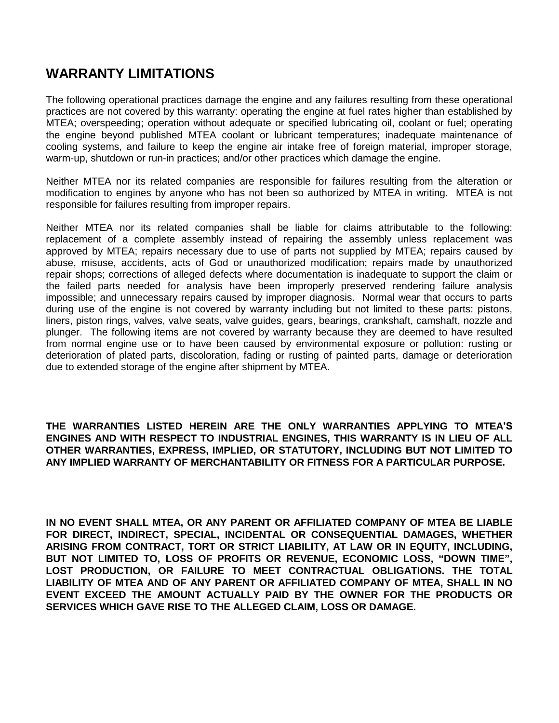# **WARRANTY LIMITATIONS**

The following operational practices damage the engine and any failures resulting from these operational practices are not covered by this warranty: operating the engine at fuel rates higher than established by MTEA; overspeeding; operation without adequate or specified lubricating oil, coolant or fuel; operating the engine beyond published MTEA coolant or lubricant temperatures; inadequate maintenance of cooling systems, and failure to keep the engine air intake free of foreign material, improper storage, warm-up, shutdown or run-in practices; and/or other practices which damage the engine.

Neither MTEA nor its related companies are responsible for failures resulting from the alteration or modification to engines by anyone who has not been so authorized by MTEA in writing. MTEA is not responsible for failures resulting from improper repairs.

Neither MTEA nor its related companies shall be liable for claims attributable to the following: replacement of a complete assembly instead of repairing the assembly unless replacement was approved by MTEA; repairs necessary due to use of parts not supplied by MTEA; repairs caused by abuse, misuse, accidents, acts of God or unauthorized modification; repairs made by unauthorized repair shops; corrections of alleged defects where documentation is inadequate to support the claim or the failed parts needed for analysis have been improperly preserved rendering failure analysis impossible; and unnecessary repairs caused by improper diagnosis. Normal wear that occurs to parts during use of the engine is not covered by warranty including but not limited to these parts: pistons, liners, piston rings, valves, valve seats, valve guides, gears, bearings, crankshaft, camshaft, nozzle and plunger. The following items are not covered by warranty because they are deemed to have resulted from normal engine use or to have been caused by environmental exposure or pollution: rusting or deterioration of plated parts, discoloration, fading or rusting of painted parts, damage or deterioration due to extended storage of the engine after shipment by MTEA.

**THE WARRANTIES LISTED HEREIN ARE THE ONLY WARRANTIES APPLYING TO MTEA'S ENGINES AND WITH RESPECT TO INDUSTRIAL ENGINES, THIS WARRANTY IS IN LIEU OF ALL OTHER WARRANTIES, EXPRESS, IMPLIED, OR STATUTORY, INCLUDING BUT NOT LIMITED TO ANY IMPLIED WARRANTY OF MERCHANTABILITY OR FITNESS FOR A PARTICULAR PURPOSE.** 

**IN NO EVENT SHALL MTEA, OR ANY PARENT OR AFFILIATED COMPANY OF MTEA BE LIABLE FOR DIRECT, INDIRECT, SPECIAL, INCIDENTAL OR CONSEQUENTIAL DAMAGES, WHETHER ARISING FROM CONTRACT, TORT OR STRICT LIABILITY, AT LAW OR IN EQUITY, INCLUDING, BUT NOT LIMITED TO, LOSS OF PROFITS OR REVENUE, ECONOMIC LOSS, "DOWN TIME", LOST PRODUCTION, OR FAILURE TO MEET CONTRACTUAL OBLIGATIONS. THE TOTAL LIABILITY OF MTEA AND OF ANY PARENT OR AFFILIATED COMPANY OF MTEA, SHALL IN NO EVENT EXCEED THE AMOUNT ACTUALLY PAID BY THE OWNER FOR THE PRODUCTS OR SERVICES WHICH GAVE RISE TO THE ALLEGED CLAIM, LOSS OR DAMAGE.**